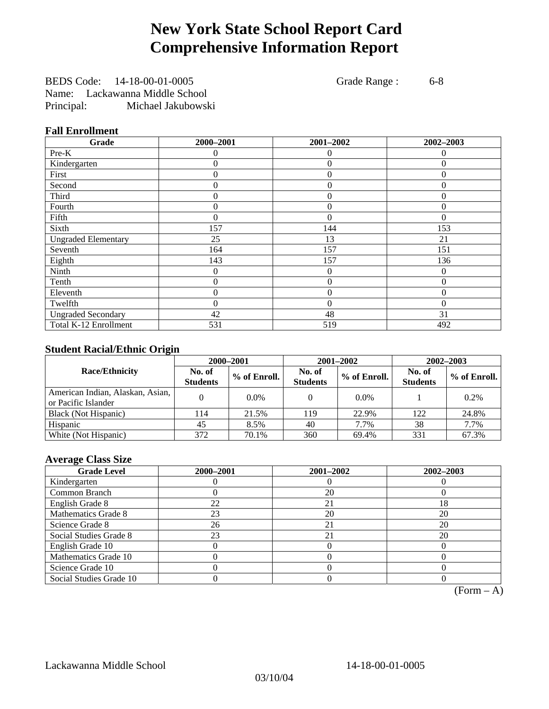# **New York State School Report Card Comprehensive Information Report**

BEDS Code: 14-18-00-01-0005 Grade Range : 6-8 Name: Lackawanna Middle School Principal: Michael Jakubowski

### **Fall Enrollment**

| Grade                      | 2000-2001 | 2001-2002        | 2002-2003      |
|----------------------------|-----------|------------------|----------------|
| Pre-K                      | $\Omega$  | $\theta$         | $\Omega$       |
| Kindergarten               | $\theta$  | $\theta$         | $\Omega$       |
| First                      | $\theta$  | $\theta$         | $\Omega$       |
| Second                     | 0         | $\theta$         | $\Omega$       |
| Third                      | 0         | $\theta$         | $\Omega$       |
| Fourth                     | 0         | $\overline{0}$   | $\Omega$       |
| Fifth                      | 0         | $\theta$         | $\Omega$       |
| Sixth                      | 157       | 144              | 153            |
| <b>Ungraded Elementary</b> | 25        | 13               | 21             |
| Seventh                    | 164       | 157              | 151            |
| Eighth                     | 143       | 157              | 136            |
| Ninth                      | 0         | $\overline{0}$   | $\overline{0}$ |
| Tenth                      | 0         | $\boldsymbol{0}$ | $\theta$       |
| Eleventh                   | 0         | $\overline{0}$   | 0              |
| Twelfth                    | 0         | $\overline{0}$   | $\Omega$       |
| <b>Ungraded Secondary</b>  | 42        | 48               | 31             |
| Total K-12 Enrollment      | 531       | 519              | 492            |

### **Student Racial/Ethnic Origin**

|                                                         |                           | 2000-2001    | 2001-2002                 |              | 2002-2003                 |                |
|---------------------------------------------------------|---------------------------|--------------|---------------------------|--------------|---------------------------|----------------|
| <b>Race/Ethnicity</b>                                   | No. of<br><b>Students</b> | % of Enroll. | No. of<br><b>Students</b> | % of Enroll. | No. of<br><b>Students</b> | $%$ of Enroll. |
| American Indian, Alaskan, Asian,<br>or Pacific Islander |                           | $0.0\%$      |                           | $0.0\%$      |                           | 0.2%           |
| Black (Not Hispanic)                                    | 114                       | 21.5%        | 119                       | 22.9%        | 122                       | 24.8%          |
| Hispanic                                                | 45                        | 8.5%         | 40                        | 7.7%         | 38                        | 7.7%           |
| White (Not Hispanic)                                    | 372                       | 70.1%        | 360                       | 69.4%        | 331                       | 67.3%          |

### **Average Class Size**

| <b>Grade Level</b>      | 2000-2001 | 2001-2002 | 2002-2003 |
|-------------------------|-----------|-----------|-----------|
| Kindergarten            |           |           |           |
| Common Branch           |           | 20        |           |
| English Grade 8         | 22        | 21        | 18        |
| Mathematics Grade 8     | 23        | 20        | 20        |
| Science Grade 8         | 26        | 21        | 20        |
| Social Studies Grade 8  | 23        | 21        | 20        |
| English Grade 10        |           |           |           |
| Mathematics Grade 10    |           |           |           |
| Science Grade 10        |           |           |           |
| Social Studies Grade 10 |           |           |           |

 $(Form - A)$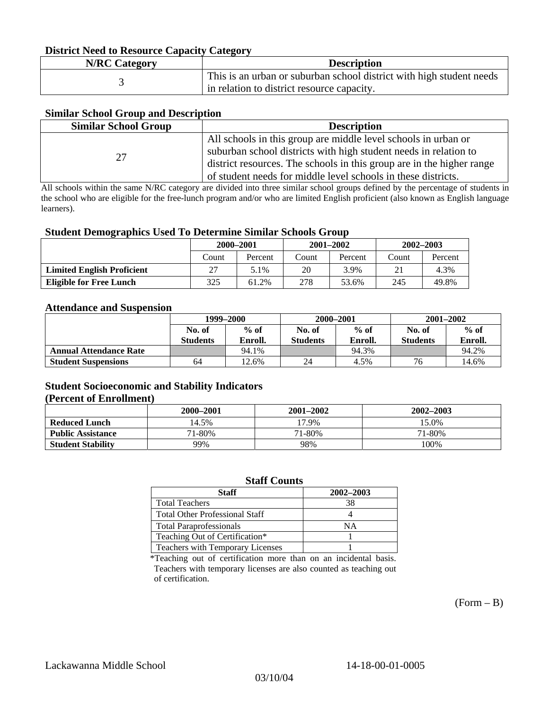#### **District Need to Resource Capacity Category**

| <b>N/RC Category</b> | <b>Description</b>                                                   |
|----------------------|----------------------------------------------------------------------|
|                      | This is an urban or suburban school district with high student needs |
|                      | in relation to district resource capacity.                           |

### **Similar School Group and Description**

| <b>Similar School Group</b> | <b>Description</b>                                                    |
|-----------------------------|-----------------------------------------------------------------------|
|                             | All schools in this group are middle level schools in urban or        |
| 27                          | suburban school districts with high student needs in relation to      |
|                             | district resources. The schools in this group are in the higher range |
|                             | of student needs for middle level schools in these districts.         |

All schools within the same N/RC category are divided into three similar school groups defined by the percentage of students in the school who are eligible for the free-lunch program and/or who are limited English proficient (also known as English language learners).

#### **Student Demographics Used To Determine Similar Schools Group**

|                                   | 2000-2001 |         | $2001 - 2002$ |         | $2002 - 2003$ |         |
|-----------------------------------|-----------|---------|---------------|---------|---------------|---------|
|                                   | Count     | Percent | Count         | Percent | Count         | Percent |
| <b>Limited English Proficient</b> |           | 5.1%    | 20            | 3.9%    |               | 4.3%    |
| <b>Eligible for Free Lunch</b>    | 325       | 61.2%   | 278           | 53.6%   | 245           | 49.8%   |

#### **Attendance and Suspension**

|                               | 1999–2000       |         |                 | 2000-2001 | $2001 - 2002$   |         |
|-------------------------------|-----------------|---------|-----------------|-----------|-----------------|---------|
|                               | No. of          | $%$ of  | No. of          | $%$ of    | No. of          | $%$ of  |
|                               | <b>Students</b> | Enroll. | <b>Students</b> | Enroll.   | <b>Students</b> | Enroll. |
| <b>Annual Attendance Rate</b> |                 | 94.1%   |                 | 94.3%     |                 | 94.2%   |
| <b>Student Suspensions</b>    | 64              | 12.6%   | 24              | 4.5%      | 76              | 14.6%   |

#### **Student Socioeconomic and Stability Indicators (Percent of Enrollment)**

|                          | 2000–2001 | $2001 - 2002$ | 2002-2003 |
|--------------------------|-----------|---------------|-----------|
| <b>Reduced Lunch</b>     | 14.5%     | 17.9%         | 15.0%     |
| <b>Public Assistance</b> | 71-80%    | 71-80%        | 71-80%    |
| <b>Student Stability</b> | 99%       | 98%           | 100%      |

#### **Staff Counts**

| Staff                                 | 2002-2003 |
|---------------------------------------|-----------|
| <b>Total Teachers</b>                 | 38        |
| <b>Total Other Professional Staff</b> |           |
| <b>Total Paraprofessionals</b>        | NΑ        |
| Teaching Out of Certification*        |           |
| Teachers with Temporary Licenses      |           |

\*Teaching out of certification more than on an incidental basis. Teachers with temporary licenses are also counted as teaching out of certification.

 $(Form - B)$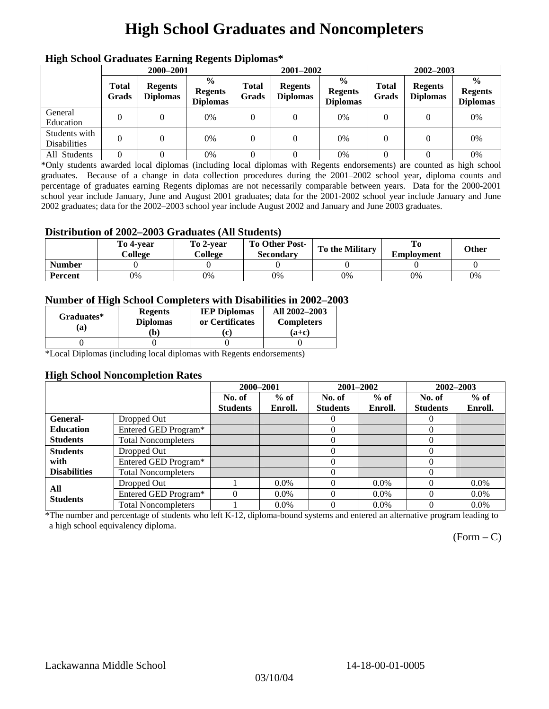# **High School Graduates and Noncompleters**

| ніді эспол этайнакі патінід кеденія вірюшая |                       |                                   |                                                    |                       |                                   |                                                    |                       |                                   |                                                    |
|---------------------------------------------|-----------------------|-----------------------------------|----------------------------------------------------|-----------------------|-----------------------------------|----------------------------------------------------|-----------------------|-----------------------------------|----------------------------------------------------|
|                                             | 2000-2001             |                                   |                                                    |                       | 2001-2002                         |                                                    | 2002-2003             |                                   |                                                    |
|                                             | <b>Total</b><br>Grads | <b>Regents</b><br><b>Diplomas</b> | $\frac{0}{0}$<br><b>Regents</b><br><b>Diplomas</b> | <b>Total</b><br>Grads | <b>Regents</b><br><b>Diplomas</b> | $\frac{6}{6}$<br><b>Regents</b><br><b>Diplomas</b> | <b>Total</b><br>Grads | <b>Regents</b><br><b>Diplomas</b> | $\frac{0}{0}$<br><b>Regents</b><br><b>Diplomas</b> |
| General<br>Education                        |                       |                                   | 0%                                                 | 0                     |                                   | 0%                                                 | $\theta$              |                                   | 0%                                                 |
| Students with<br><b>Disabilities</b>        |                       |                                   | 0%                                                 | 0                     | $\theta$                          | 0%                                                 | $\theta$              |                                   | 0%                                                 |
| All Students                                |                       |                                   | 0%                                                 |                       |                                   | 0%                                                 |                       |                                   | 0%                                                 |

### **High School Graduates Earning Regents Diplomas\***

\*Only students awarded local diplomas (including local diplomas with Regents endorsements) are counted as high school graduates. Because of a change in data collection procedures during the 2001–2002 school year, diploma counts and percentage of graduates earning Regents diplomas are not necessarily comparable between years. Data for the 2000-2001 school year include January, June and August 2001 graduates; data for the 2001-2002 school year include January and June 2002 graduates; data for the 2002–2003 school year include August 2002 and January and June 2003 graduates.

### **Distribution of 2002–2003 Graduates (All Students)**

|               | To 4-vear<br>College | To 2-vear<br>College | <b>To Other Post-</b><br><b>Secondary</b> | <b>To the Military</b> | <b>Employment</b> | Other |
|---------------|----------------------|----------------------|-------------------------------------------|------------------------|-------------------|-------|
| <b>Number</b> |                      |                      |                                           |                        |                   |       |
| Percent       | 0%                   | 0%                   | 0%                                        | 0%                     | 0%                | 0%    |

#### **Number of High School Completers with Disabilities in 2002–2003**

| Graduates*<br>(a) | <b>Regents</b><br><b>Diplomas</b><br>b) | <b>IEP Diplomas</b><br>or Certificates<br>'c) | All 2002-2003<br><b>Completers</b><br>(a+c) |
|-------------------|-----------------------------------------|-----------------------------------------------|---------------------------------------------|
|                   |                                         |                                               |                                             |

\*Local Diplomas (including local diplomas with Regents endorsements)

#### **High School Noncompletion Rates**

|                     |                            | 2000-2001       |         | 2001-2002       |         | 2002-2003       |         |
|---------------------|----------------------------|-----------------|---------|-----------------|---------|-----------------|---------|
|                     |                            | No. of          | $%$ of  | No. of          | $%$ of  | No. of          | $%$ of  |
|                     |                            | <b>Students</b> | Enroll. | <b>Students</b> | Enroll. | <b>Students</b> | Enroll. |
| General-            | Dropped Out                |                 |         | $\theta$        |         | $\theta$        |         |
| <b>Education</b>    | Entered GED Program*       |                 |         | $\theta$        |         | $\theta$        |         |
| <b>Students</b>     | <b>Total Noncompleters</b> |                 |         |                 |         | 0               |         |
| <b>Students</b>     | Dropped Out                |                 |         | 0               |         | 0               |         |
| with                | Entered GED Program*       |                 |         |                 |         | $\theta$        |         |
| <b>Disabilities</b> | <b>Total Noncompleters</b> |                 |         |                 |         | 0               |         |
| All                 | Dropped Out                |                 | $0.0\%$ |                 | $0.0\%$ | $\theta$        | $0.0\%$ |
| <b>Students</b>     | Entered GED Program*       | $\Omega$        | $0.0\%$ | 0               | $0.0\%$ | 0               | $0.0\%$ |
|                     | <b>Total Noncompleters</b> |                 | $0.0\%$ |                 | $0.0\%$ |                 | $0.0\%$ |

\*The number and percentage of students who left K-12, diploma-bound systems and entered an alternative program leading to a high school equivalency diploma.

 $(Form - C)$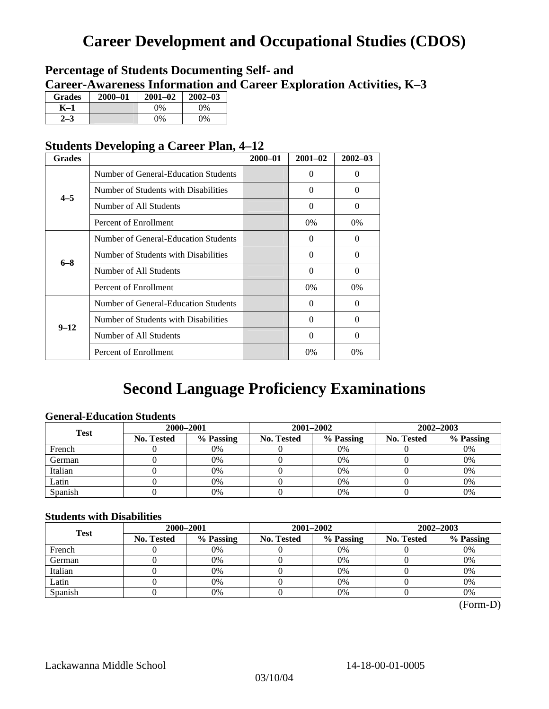# **Career Development and Occupational Studies (CDOS)**

## **Percentage of Students Documenting Self- and Career-Awareness Information and Career Exploration Activities, K–3**

| <b>Grades</b> | 2000-01 | $2001 - 02$ | $2002 - 03$ |
|---------------|---------|-------------|-------------|
| K–1           |         | $0\%$       | $0\%$       |
|               |         | $0\%$       | $0\%$       |

## **Students Developing a Career Plan, 4–12**

| <b>Grades</b> |                                      | $2000 - 01$ | $2001 - 02$ | $2002 - 03$ |
|---------------|--------------------------------------|-------------|-------------|-------------|
| $4 - 5$       | Number of General-Education Students |             | 0           | $\theta$    |
|               | Number of Students with Disabilities |             | $\theta$    | $\Omega$    |
|               | Number of All Students               |             | $\Omega$    | $\Omega$    |
|               | Percent of Enrollment                |             | $0\%$       | $0\%$       |
| $6 - 8$       | Number of General-Education Students |             | 0           | 0           |
|               | Number of Students with Disabilities |             | $\Omega$    | $\Omega$    |
|               | Number of All Students               |             | $\Omega$    | $\Omega$    |
|               | Percent of Enrollment                |             | $0\%$       | 0%          |
|               | Number of General-Education Students |             | 0           | $\Omega$    |
| $9 - 12$      | Number of Students with Disabilities |             | 0           | $\Omega$    |
|               | Number of All Students               |             | $\theta$    | $\Omega$    |
|               | Percent of Enrollment                |             | 0%          | 0%          |

# **Second Language Proficiency Examinations**

### **General-Education Students**

| <b>Test</b> | 2000-2001         |           |            | 2001–2002 | 2002-2003         |           |
|-------------|-------------------|-----------|------------|-----------|-------------------|-----------|
|             | <b>No. Tested</b> | % Passing | No. Tested | % Passing | <b>No. Tested</b> | % Passing |
| French      |                   | 0%        |            | $0\%$     |                   | 0%        |
| German      |                   | 0%        |            | 0%        |                   | 0%        |
| Italian     |                   | 0%        |            | 0%        |                   | 0%        |
| Latin       |                   | 0%        |            | 0%        |                   | 0%        |
| Spanish     |                   | 0%        |            | 0%        |                   | 0%        |

### **Students with Disabilities**

| <b>Test</b> | 2000-2001         |           |            | 2001-2002 | 2002-2003         |           |  |
|-------------|-------------------|-----------|------------|-----------|-------------------|-----------|--|
|             | <b>No. Tested</b> | % Passing | No. Tested | % Passing | <b>No. Tested</b> | % Passing |  |
| French      |                   | 0%        |            | 0%        |                   | 0%        |  |
| German      |                   | 0%        |            | 0%        |                   | 0%        |  |
| Italian     |                   | 0%        |            | 0%        |                   | 0%        |  |
| Latin       |                   | 0%        |            | $0\%$     |                   | 0%        |  |
| Spanish     |                   | 0%        |            | 0%        |                   | 0%        |  |

 <sup>(</sup>Form-D)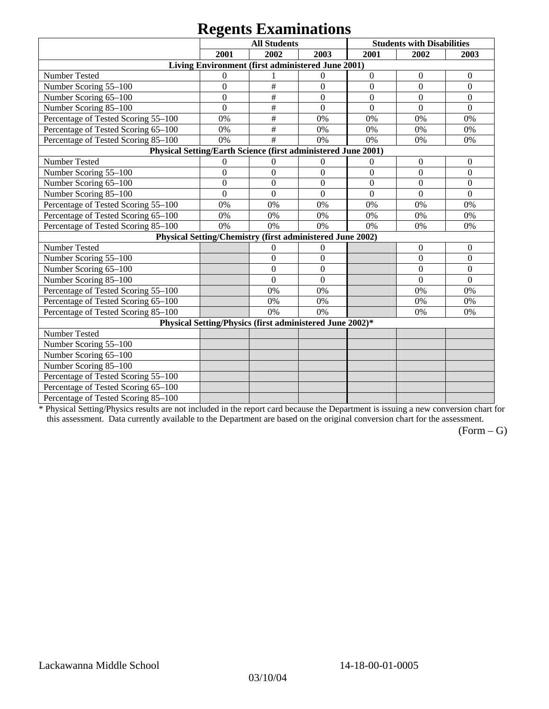# **Regents Examinations**

|                                                               | 8°-<br><b>All Students</b>                                |                  |                  |                  | <b>Students with Disabilities</b> |                  |  |
|---------------------------------------------------------------|-----------------------------------------------------------|------------------|------------------|------------------|-----------------------------------|------------------|--|
|                                                               | 2001                                                      | 2002             | 2003             | 2001             | 2002                              | 2003             |  |
|                                                               | Living Environment (first administered June 2001)         |                  |                  |                  |                                   |                  |  |
| Number Tested                                                 | $\mathbf{0}$                                              |                  | $\mathbf{0}$     | $\boldsymbol{0}$ | $\boldsymbol{0}$                  | $\boldsymbol{0}$ |  |
| Number Scoring 55-100                                         | $\overline{0}$                                            | #                | $\overline{0}$   | $\overline{0}$   | $\overline{0}$                    | $\theta$         |  |
| Number Scoring 65-100                                         | $\mathbf{0}$                                              | #                | $\mathbf{0}$     | $\overline{0}$   | $\overline{0}$                    | $\mathbf{0}$     |  |
| Number Scoring 85-100                                         | $\mathbf{0}$                                              | $\#$             | $\boldsymbol{0}$ | $\boldsymbol{0}$ | $\mathbf{0}$                      | $\boldsymbol{0}$ |  |
| Percentage of Tested Scoring 55-100                           | 0%                                                        | $\#$             | 0%               | 0%               | 0%                                | 0%               |  |
| Percentage of Tested Scoring 65-100                           | 0%                                                        | $\#$             | 0%               | 0%               | 0%                                | 0%               |  |
| Percentage of Tested Scoring 85-100                           | 0%                                                        | #                | 0%               | 0%               | 0%                                | 0%               |  |
| Physical Setting/Earth Science (first administered June 2001) |                                                           |                  |                  |                  |                                   |                  |  |
| Number Tested                                                 | $\mathbf{0}$                                              | $\boldsymbol{0}$ | $\boldsymbol{0}$ | $\overline{0}$   | $\boldsymbol{0}$                  | $\mathbf{0}$     |  |
| Number Scoring 55-100                                         | $\overline{0}$                                            | $\overline{0}$   | $\overline{0}$   | $\overline{0}$   | $\overline{0}$                    | $\overline{0}$   |  |
| Number Scoring 65-100                                         | $\overline{0}$                                            | $\overline{0}$   | $\overline{0}$   | $\overline{0}$   | $\overline{0}$                    | $\overline{0}$   |  |
| Number Scoring 85-100                                         | $\mathbf{0}$                                              | $\overline{0}$   | $\mathbf{0}$     | $\overline{0}$   | $\mathbf{0}$                      | $\boldsymbol{0}$ |  |
| Percentage of Tested Scoring 55-100                           | 0%                                                        | 0%               | 0%               | 0%               | 0%                                | 0%               |  |
| Percentage of Tested Scoring 65-100                           | 0%                                                        | 0%               | 0%               | 0%               | 0%                                | 0%               |  |
| Percentage of Tested Scoring 85-100                           | 0%                                                        | 0%               | 0%               | 0%               | 0%                                | 0%               |  |
|                                                               | Physical Setting/Chemistry (first administered June 2002) |                  |                  |                  |                                   |                  |  |
| Number Tested                                                 |                                                           | $\mathbf{0}$     | $\mathbf{0}$     |                  | $\theta$                          | $\theta$         |  |
| Number Scoring 55-100                                         |                                                           | $\overline{0}$   | $\mathbf{0}$     |                  | $\theta$                          | $\overline{0}$   |  |
| Number Scoring 65-100                                         |                                                           | $\theta$         | $\Omega$         |                  | $\theta$                          | $\theta$         |  |
| Number Scoring 85-100                                         |                                                           | $\overline{0}$   | $\mathbf{0}$     |                  | $\overline{0}$                    | $\overline{0}$   |  |
| Percentage of Tested Scoring 55-100                           |                                                           | 0%               | 0%               |                  | 0%                                | 0%               |  |
| Percentage of Tested Scoring 65-100                           |                                                           | 0%               | 0%               |                  | 0%                                | 0%               |  |
| Percentage of Tested Scoring 85-100                           |                                                           | 0%               | 0%               |                  | 0%                                | 0%               |  |
| Physical Setting/Physics (first administered June 2002)*      |                                                           |                  |                  |                  |                                   |                  |  |
| Number Tested                                                 |                                                           |                  |                  |                  |                                   |                  |  |
| Number Scoring 55-100                                         |                                                           |                  |                  |                  |                                   |                  |  |
| Number Scoring 65-100                                         |                                                           |                  |                  |                  |                                   |                  |  |
| Number Scoring 85-100                                         |                                                           |                  |                  |                  |                                   |                  |  |
| Percentage of Tested Scoring 55-100                           |                                                           |                  |                  |                  |                                   |                  |  |
| Percentage of Tested Scoring 65-100                           |                                                           |                  |                  |                  |                                   |                  |  |
| Percentage of Tested Scoring 85-100                           |                                                           |                  |                  |                  |                                   |                  |  |

\* Physical Setting/Physics results are not included in the report card because the Department is issuing a new conversion chart for this assessment. Data currently available to the Department are based on the original conversion chart for the assessment.

 $(Form - G)$